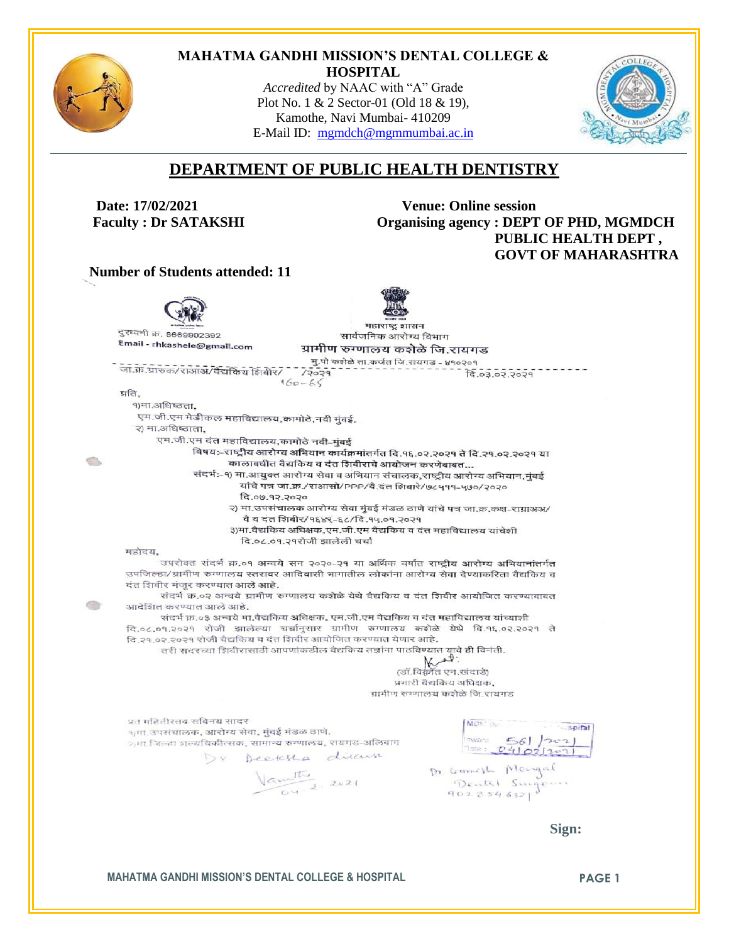

O,

 $\odot$ 

#### **MAHATMA GANDHI MISSION'S DENTAL COLLEGE & HOSPITAL**

*Accredited* by NAAC with "A" Grade Plot No. 1 & 2 Sector-01 (Old 18 & 19), Kamothe, Navi Mumbai- 410209 E-Mail ID: [mgmdch@mgmmumbai.ac.in](mailto:mgmdch@mgmmumbai.ac.in)



## **DEPARTMENT OF PUBLIC HEALTH DENTISTRY**

 **Date: 17/02/2021 Venue: Online session Faculty : Dr SATAKSHI CHOOPED BEET OF PHD, MGMDCH PUBLIC HEALTH DEPT , GOVT OF MAHARASHTRA**

 **Number of Students attended: 11**



Vantille Comment De Grand Mengal<br>Our 2. 2021 Dentil Singern

 **Sign:**

**MAHATMA GANDHI MISSION'S DENTAL COLLEGE & HOSPITAL <b>PAGE 1**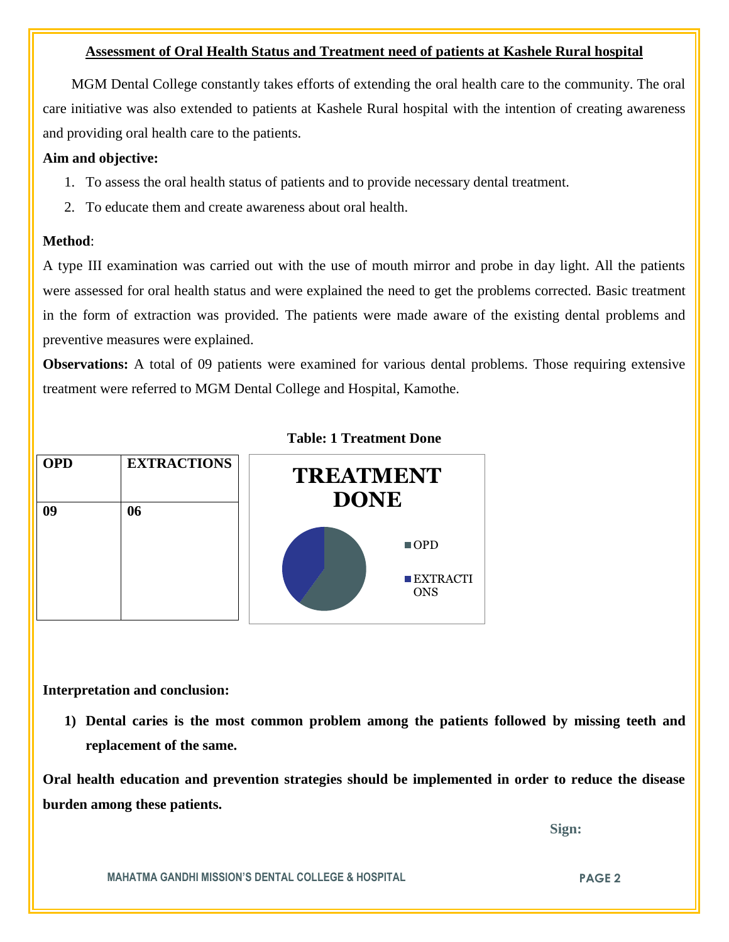### **Assessment of Oral Health Status and Treatment need of patients at Kashele Rural hospital**

 MGM Dental College constantly takes efforts of extending the oral health care to the community. The oral care initiative was also extended to patients at Kashele Rural hospital with the intention of creating awareness and providing oral health care to the patients.

### **Aim and objective:**

- 1. To assess the oral health status of patients and to provide necessary dental treatment.
- 2. To educate them and create awareness about oral health.

#### **Method**:

A type III examination was carried out with the use of mouth mirror and probe in day light. All the patients were assessed for oral health status and were explained the need to get the problems corrected. Basic treatment in the form of extraction was provided. The patients were made aware of the existing dental problems and preventive measures were explained.

**Observations:** A total of 09 patients were examined for various dental problems. Those requiring extensive treatment were referred to MGM Dental College and Hospital, Kamothe.



### **Table: 1 Treatment Done**

**Interpretation and conclusion:** 

**1) Dental caries is the most common problem among the patients followed by missing teeth and replacement of the same.**

**Oral health education and prevention strategies should be implemented in order to reduce the disease burden among these patients.**

 **Sign:**

**MAHATMA GANDHI MISSION'S DENTAL COLLEGE & HOSPITAL PAGE 2**